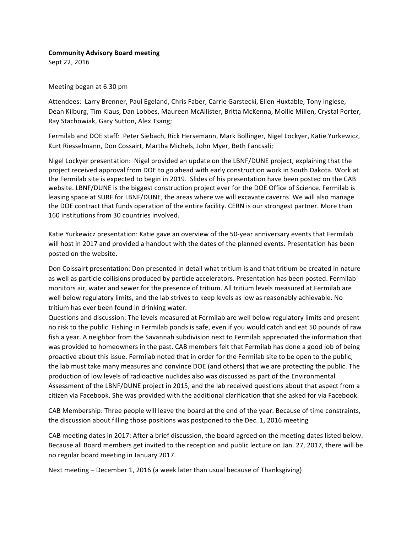## **Community Advisory Board meeting**

Sept 22, 2016

Meeting began at 6:30 pm

Attendees: Larry Brenner, Paul Egeland, Chris Faber, Carrie Garstecki, Ellen Huxtable, Tony Inglese, Dean Kilburg, Tim Klaus, Dan Lobbes, Maureen McAllister, Britta McKenna, Mollie Millen, Crystal Porter, Ray Stachowiak, Gary Sutton, Alex Tsang;

Fermilab and DOE staff: Peter Siebach, Rick Hersemann, Mark Bollinger, Nigel Lockyer, Katie Yurkewicz, Kurt Riesselmann, Don Cossairt, Martha Michels, John Myer, Beth Fancsali;

Nigel Lockyer presentation: Nigel provided an update on the LBNF/DUNE project, explaining that the project received approval from DOE to go ahead with early construction work in South Dakota. Work at the Fermilab site is expected to begin in 2019. Slides of his presentation have been posted on the CAB website. LBNF/DUNE is the biggest construction project ever for the DOE Office of Science. Fermilab is leasing space at SURF for LBNF/DUNE, the areas where we will excavate caverns. We will also manage the DOE contract that funds operation of the entire facility. CERN is our strongest partner. More than 160 institutions from 30 countries involved.

Katie Yurkewicz presentation: Katie gave an overview of the 50-year anniversary events that Fermilab will host in 2017 and provided a handout with the dates of the planned events. Presentation has been posted on the website.

Don Coissairt presentation: Don presented in detail what tritium is and that tritium be created in nature as well as particle collisions produced by particle accelerators. Presentation has been posted. Fermilab monitors air, water and sewer for the presence of tritium. All tritium levels measured at Fermilab are well below regulatory limits, and the lab strives to keep levels as low as reasonably achievable. No tritium has ever been found in drinking water.

Questions and discussion: The levels measured at Fermilab are well below regulatory limits and present no risk to the public. Fishing in Fermilab ponds is safe, even if you would catch and eat 50 pounds of raw fish a year. A neighbor from the Savannah subdivision next to Fermilab appreciated the information that was provided to homeowners in the past. CAB members felt that Fermilab has done a good job of being proactive about this issue. Fermilab noted that in order for the Fermilab site to be open to the public, the lab must take many measures and convince DOE (and others) that we are protecting the public. The production of low levels of radioactive nuclides also was discussed as part of the Environmental Assessment of the LBNF/DUNE project in 2015, and the lab received questions about that aspect from a citizen via Facebook. She was provided with the additional clarification that she asked for via Facebook.

CAB Membership: Three people will leave the board at the end of the year. Because of time constraints, the discussion about filling those positions was postponed to the Dec. 1, 2016 meeting

CAB meeting dates in 2017: After a brief discussion, the board agreed on the meeting dates listed below. Because all Board members get invited to the reception and public lecture on Jan. 27, 2017, there will be no regular board meeting in January 2017.

Next meeting – December 1, 2016 (a week later than usual because of Thanksgiving)